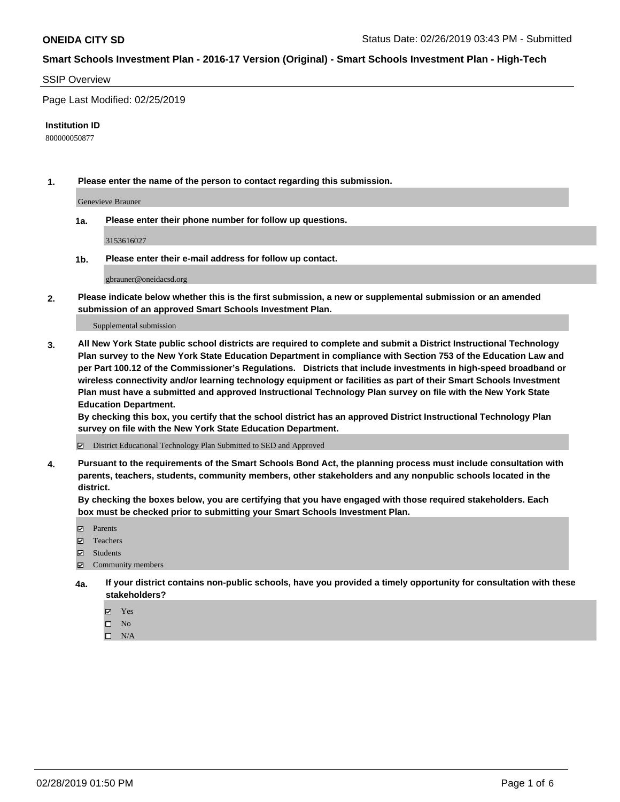#### SSIP Overview

Page Last Modified: 02/25/2019

#### **Institution ID**

800000050877

**1. Please enter the name of the person to contact regarding this submission.**

Genevieve Brauner

**1a. Please enter their phone number for follow up questions.**

3153616027

**1b. Please enter their e-mail address for follow up contact.**

gbrauner@oneidacsd.org

**2. Please indicate below whether this is the first submission, a new or supplemental submission or an amended submission of an approved Smart Schools Investment Plan.**

Supplemental submission

**3. All New York State public school districts are required to complete and submit a District Instructional Technology Plan survey to the New York State Education Department in compliance with Section 753 of the Education Law and per Part 100.12 of the Commissioner's Regulations. Districts that include investments in high-speed broadband or wireless connectivity and/or learning technology equipment or facilities as part of their Smart Schools Investment Plan must have a submitted and approved Instructional Technology Plan survey on file with the New York State Education Department.** 

**By checking this box, you certify that the school district has an approved District Instructional Technology Plan survey on file with the New York State Education Department.**

District Educational Technology Plan Submitted to SED and Approved

**4. Pursuant to the requirements of the Smart Schools Bond Act, the planning process must include consultation with parents, teachers, students, community members, other stakeholders and any nonpublic schools located in the district.** 

**By checking the boxes below, you are certifying that you have engaged with those required stakeholders. Each box must be checked prior to submitting your Smart Schools Investment Plan.**

- **□** Parents
- Teachers
- Students
- $\boxtimes$  Community members
- **4a. If your district contains non-public schools, have you provided a timely opportunity for consultation with these stakeholders?**
	- Yes
	- $\qquad \qquad$  No
	- $\square$  N/A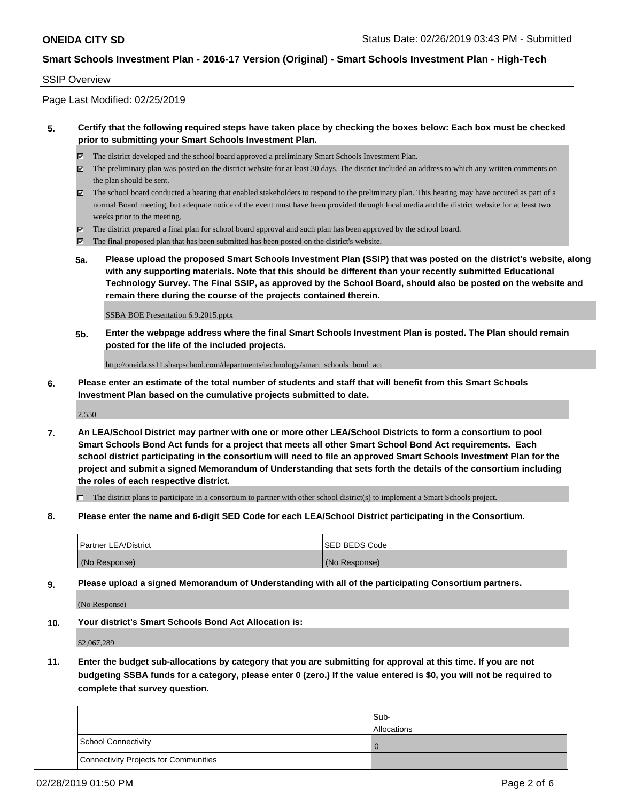### SSIP Overview

Page Last Modified: 02/25/2019

### **5. Certify that the following required steps have taken place by checking the boxes below: Each box must be checked prior to submitting your Smart Schools Investment Plan.**

- The district developed and the school board approved a preliminary Smart Schools Investment Plan.
- $\boxtimes$  The preliminary plan was posted on the district website for at least 30 days. The district included an address to which any written comments on the plan should be sent.
- $\boxtimes$  The school board conducted a hearing that enabled stakeholders to respond to the preliminary plan. This hearing may have occured as part of a normal Board meeting, but adequate notice of the event must have been provided through local media and the district website for at least two weeks prior to the meeting.
- The district prepared a final plan for school board approval and such plan has been approved by the school board.
- $\boxtimes$  The final proposed plan that has been submitted has been posted on the district's website.
- **5a. Please upload the proposed Smart Schools Investment Plan (SSIP) that was posted on the district's website, along with any supporting materials. Note that this should be different than your recently submitted Educational Technology Survey. The Final SSIP, as approved by the School Board, should also be posted on the website and remain there during the course of the projects contained therein.**

SSBA BOE Presentation 6.9.2015.pptx

**5b. Enter the webpage address where the final Smart Schools Investment Plan is posted. The Plan should remain posted for the life of the included projects.**

http://oneida.ss11.sharpschool.com/departments/technology/smart\_schools\_bond\_act

**6. Please enter an estimate of the total number of students and staff that will benefit from this Smart Schools Investment Plan based on the cumulative projects submitted to date.**

2,550

**7. An LEA/School District may partner with one or more other LEA/School Districts to form a consortium to pool Smart Schools Bond Act funds for a project that meets all other Smart School Bond Act requirements. Each school district participating in the consortium will need to file an approved Smart Schools Investment Plan for the project and submit a signed Memorandum of Understanding that sets forth the details of the consortium including the roles of each respective district.**

 $\Box$  The district plans to participate in a consortium to partner with other school district(s) to implement a Smart Schools project.

**8. Please enter the name and 6-digit SED Code for each LEA/School District participating in the Consortium.**

| <b>Partner LEA/District</b> | <b>ISED BEDS Code</b> |
|-----------------------------|-----------------------|
| (No Response)               | (No Response)         |

**9. Please upload a signed Memorandum of Understanding with all of the participating Consortium partners.**

(No Response)

**10. Your district's Smart Schools Bond Act Allocation is:**

\$2,067,289

**11. Enter the budget sub-allocations by category that you are submitting for approval at this time. If you are not budgeting SSBA funds for a category, please enter 0 (zero.) If the value entered is \$0, you will not be required to complete that survey question.**

|                                              | Sub-<br><b>Allocations</b> |
|----------------------------------------------|----------------------------|
| <b>School Connectivity</b>                   |                            |
| <b>Connectivity Projects for Communities</b> |                            |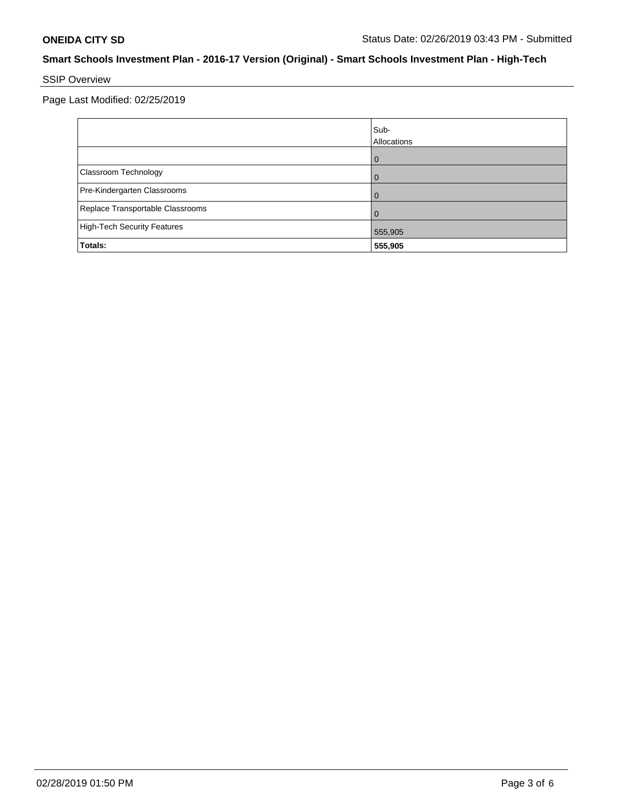# SSIP Overview

Page Last Modified: 02/25/2019

|                                    | Sub-<br>Allocations |
|------------------------------------|---------------------|
|                                    | $\mathbf{I}$        |
| Classroom Technology               |                     |
| Pre-Kindergarten Classrooms        |                     |
| Replace Transportable Classrooms   |                     |
| <b>High-Tech Security Features</b> | 555,905             |
| Totals:                            | 555,905             |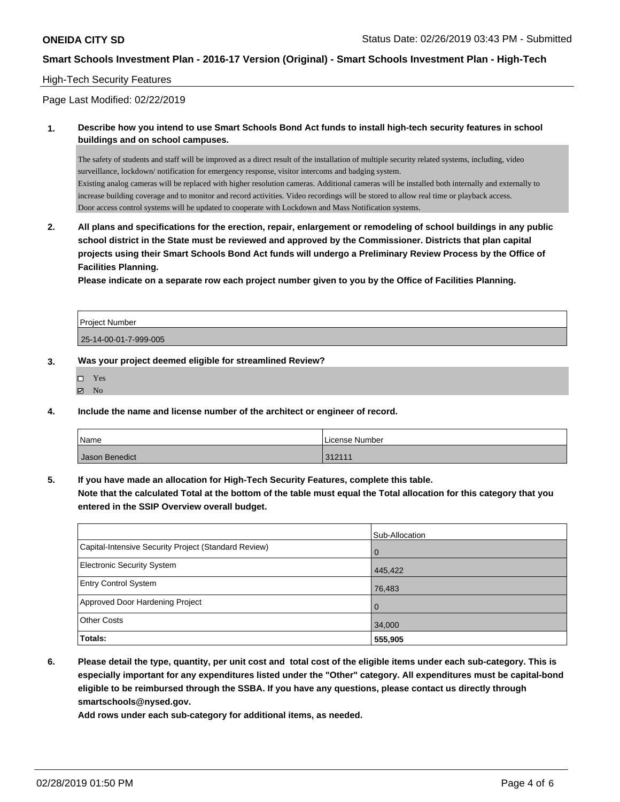#### High-Tech Security Features

Page Last Modified: 02/22/2019

**1. Describe how you intend to use Smart Schools Bond Act funds to install high-tech security features in school buildings and on school campuses.**

The safety of students and staff will be improved as a direct result of the installation of multiple security related systems, including, video surveillance, lockdown/ notification for emergency response, visitor intercoms and badging system. Existing analog cameras will be replaced with higher resolution cameras. Additional cameras will be installed both internally and externally to increase building coverage and to monitor and record activities. Video recordings will be stored to allow real time or playback access. Door access control systems will be updated to cooperate with Lockdown and Mass Notification systems.

**2. All plans and specifications for the erection, repair, enlargement or remodeling of school buildings in any public school district in the State must be reviewed and approved by the Commissioner. Districts that plan capital projects using their Smart Schools Bond Act funds will undergo a Preliminary Review Process by the Office of Facilities Planning.** 

**Please indicate on a separate row each project number given to you by the Office of Facilities Planning.**

| <b>Project Number</b> |  |
|-----------------------|--|
| 25-14-00-01-7-999-005 |  |

#### **3. Was your project deemed eligible for streamlined Review?**

| П | Yes |
|---|-----|
| ⊽ | No  |

**4. Include the name and license number of the architect or engineer of record.**

| Name           | License Number |
|----------------|----------------|
| Jason Benedict | 312111         |

**5. If you have made an allocation for High-Tech Security Features, complete this table.**

**Note that the calculated Total at the bottom of the table must equal the Total allocation for this category that you entered in the SSIP Overview overall budget.**

|                                                      | Sub-Allocation |
|------------------------------------------------------|----------------|
| Capital-Intensive Security Project (Standard Review) | $\overline{0}$ |
| Electronic Security System                           | 445,422        |
| <b>Entry Control System</b>                          | 76,483         |
| Approved Door Hardening Project                      | $\Omega$       |
| <b>Other Costs</b>                                   | 34,000         |
| Totals:                                              | 555,905        |

**6. Please detail the type, quantity, per unit cost and total cost of the eligible items under each sub-category. This is especially important for any expenditures listed under the "Other" category. All expenditures must be capital-bond eligible to be reimbursed through the SSBA. If you have any questions, please contact us directly through smartschools@nysed.gov.**

**Add rows under each sub-category for additional items, as needed.**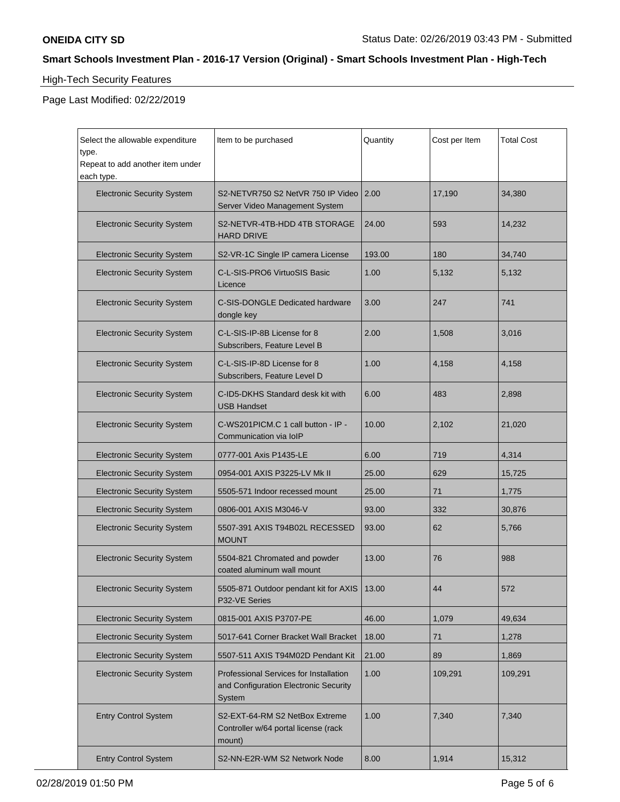# High-Tech Security Features

Page Last Modified: 02/22/2019

| Select the allowable expenditure<br>type.<br>Repeat to add another item under<br>each type. | Item to be purchased                                                                             | Quantity | Cost per Item | <b>Total Cost</b> |
|---------------------------------------------------------------------------------------------|--------------------------------------------------------------------------------------------------|----------|---------------|-------------------|
| <b>Electronic Security System</b>                                                           | S2-NETVR750 S2 NetVR 750 IP Video<br>Server Video Management System                              | 2.00     | 17,190        | 34,380            |
| <b>Electronic Security System</b>                                                           | S2-NETVR-4TB-HDD 4TB STORAGE<br><b>HARD DRIVE</b>                                                | 24.00    | 593           | 14,232            |
| <b>Electronic Security System</b>                                                           | S2-VR-1C Single IP camera License                                                                | 193.00   | 180           | 34,740            |
| <b>Electronic Security System</b>                                                           | C-L-SIS-PRO6 VirtuoSIS Basic<br>Licence                                                          | 1.00     | 5,132         | 5,132             |
| <b>Electronic Security System</b>                                                           | C-SIS-DONGLE Dedicated hardware<br>dongle key                                                    | 3.00     | 247           | 741               |
| <b>Electronic Security System</b>                                                           | C-L-SIS-IP-8B License for 8<br>Subscribers, Feature Level B                                      | 2.00     | 1,508         | 3,016             |
| <b>Electronic Security System</b>                                                           | C-L-SIS-IP-8D License for 8<br>Subscribers, Feature Level D                                      | 1.00     | 4,158         | 4,158             |
| <b>Electronic Security System</b>                                                           | C-ID5-DKHS Standard desk kit with<br><b>USB Handset</b>                                          | 6.00     | 483           | 2,898             |
| <b>Electronic Security System</b>                                                           | C-WS201PICM.C 1 call button - IP -<br>Communication via IoIP                                     | 10.00    | 2,102         | 21,020            |
| <b>Electronic Security System</b>                                                           | 0777-001 Axis P1435-LE                                                                           | 6.00     | 719           | 4,314             |
| <b>Electronic Security System</b>                                                           | 0954-001 AXIS P3225-LV Mk II                                                                     | 25.00    | 629           | 15,725            |
| <b>Electronic Security System</b>                                                           | 5505-571 Indoor recessed mount                                                                   | 25.00    | 71            | 1,775             |
| <b>Electronic Security System</b>                                                           | 0806-001 AXIS M3046-V                                                                            |          | 332           | 30,876            |
| <b>Electronic Security System</b>                                                           | 5507-391 AXIS T94B02L RECESSED<br><b>MOUNT</b>                                                   | 93.00    | 62            | 5,766             |
| <b>Electronic Security System</b>                                                           | 5504-821 Chromated and powder<br>coated aluminum wall mount                                      | 13.00    | 76            | 988               |
| <b>Electronic Security System</b>                                                           | 5505-871 Outdoor pendant kit for AXIS<br>P32-VE Series                                           | 13.00    | 44            | 572               |
| <b>Electronic Security System</b>                                                           | 0815-001 AXIS P3707-PE                                                                           | 46.00    | 1,079         | 49,634            |
| <b>Electronic Security System</b>                                                           | 5017-641 Corner Bracket Wall Bracket                                                             | 18.00    | 71            | 1,278             |
| <b>Electronic Security System</b>                                                           | 5507-511 AXIS T94M02D Pendant Kit                                                                | 21.00    | 89            | 1,869             |
| <b>Electronic Security System</b>                                                           | <b>Professional Services for Installation</b><br>and Configuration Electronic Security<br>System | 1.00     | 109,291       | 109,291           |
| <b>Entry Control System</b>                                                                 | S2-EXT-64-RM S2 NetBox Extreme<br>Controller w/64 portal license (rack<br>mount)                 | 1.00     | 7,340         | 7,340             |
| <b>Entry Control System</b>                                                                 | S2-NN-E2R-WM S2 Network Node                                                                     | 8.00     | 1,914         | 15,312            |